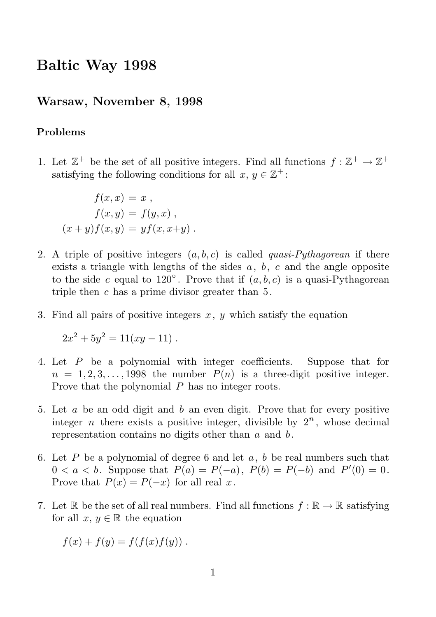# Baltic Way 1998

### Warsaw, November 8, 1998

#### Problems

1. Let  $\mathbb{Z}^+$  be the set of all positive integers. Find all functions  $f : \mathbb{Z}^+ \to \mathbb{Z}^+$ satisfying the following conditions for all  $x, y \in \mathbb{Z}^+$ :

$$
f(x,x) = x,
$$
  
\n
$$
f(x,y) = f(y,x),
$$
  
\n
$$
(x+y)f(x,y) = yf(x,x+y).
$$

- 2. A triple of positive integers  $(a, b, c)$  is called *quasi-Pythagorean* if there exists a triangle with lengths of the sides  $a, b, c$  and the angle opposite to the side c equal to  $120^\circ$ . Prove that if  $(a, b, c)$  is a quasi-Pythagorean triple then  $c$  has a prime divisor greater than  $5$ .
- 3. Find all pairs of positive integers  $x, y$  which satisfy the equation

 $2x^2 + 5y^2 = 11(xy - 11).$ 

- 4. Let P be a polynomial with integer coefficients. Suppose that for  $n = 1, 2, 3, \ldots, 1998$  the number  $P(n)$  is a three-digit positive integer. Prove that the polynomial P has no integer roots.
- 5. Let a be an odd digit and b an even digit. Prove that for every positive integer *n* there exists a positive integer, divisible by  $2^n$ , whose decimal representation contains no digits other than  $a$  and  $b$ .
- 6. Let P be a polynomial of degree 6 and let a, b be real numbers such that  $0 < a < b$ . Suppose that  $P(a) = P(-a)$ ,  $P(b) = P(-b)$  and  $P'(0) = 0$ . Prove that  $P(x) = P(-x)$  for all real x.
- 7. Let R be the set of all real numbers. Find all functions  $f : \mathbb{R} \to \mathbb{R}$  satisfying for all  $x, y \in \mathbb{R}$  the equation

$$
f(x) + f(y) = f(f(x)f(y)) .
$$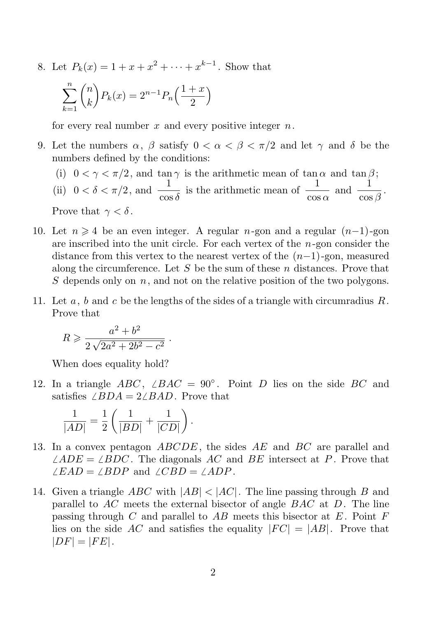8. Let  $P_k(x) = 1 + x + x^2 + \cdots + x^{k-1}$ . Show that

$$
\sum_{k=1}^{n} \binom{n}{k} P_k(x) = 2^{n-1} P_n\left(\frac{1+x}{2}\right)
$$

for every real number  $x$  and every positive integer  $n$ .

- 9. Let the numbers  $\alpha$ ,  $\beta$  satisfy  $0 < \alpha < \beta < \pi/2$  and let  $\gamma$  and  $\delta$  be the numbers defined by the conditions:
	- (i)  $0 < \gamma < \pi/2$ , and tan  $\gamma$  is the arithmetic mean of tan  $\alpha$  and tan  $\beta$ ;
	- (ii)  $0 < \delta < \pi/2$ , and  $\frac{1}{\cos \delta}$  is the arithmetic mean of  $\frac{1}{\cos \alpha}$  and  $\frac{1}{\cos \beta}$ . Prove that  $\gamma < \delta$ .
- 10. Let  $n \geq 4$  be an even integer. A regular n-gon and a regular  $(n-1)$ -gon are inscribed into the unit circle. For each vertex of the  $n$ -gon consider the distance from this vertex to the nearest vertex of the  $(n-1)$ -gon, measured along the circumference. Let S be the sum of these n distances. Prove that S depends only on  $n$ , and not on the relative position of the two polygons.
- 11. Let  $a, b$  and  $c$  be the lengths of the sides of a triangle with circumradius  $R$ . Prove that

$$
R \geqslant \frac{a^2 + b^2}{2\sqrt{2a^2 + 2b^2 - c^2}} \ .
$$

When does equality hold?

12. In a triangle ABC,  $\angle BAC = 90^\circ$ . Point D lies on the side BC and satisfies  $\angle BDA = 2\angle BAD$ . Prove that

$$
\frac{1}{|AD|} = \frac{1}{2} \left( \frac{1}{|BD|} + \frac{1}{|CD|} \right).
$$

- 13. In a convex pentagon  $ABCDE$ , the sides AE and BC are parallel and  $\angle ADE = \angle BDC$ . The diagonals AC and BE intersect at P. Prove that  $\angle EAD = \angle BDP$  and  $\angle CBD = \angle ADP$ .
- 14. Given a triangle ABC with  $|AB| < |AC|$ . The line passing through B and parallel to  $AC$  meets the external bisector of angle  $BAC$  at D. The line passing through C and parallel to  $AB$  meets this bisector at E. Point F lies on the side AC and satisfies the equality  $|FC| = |AB|$ . Prove that  $|DF| = |FE|.$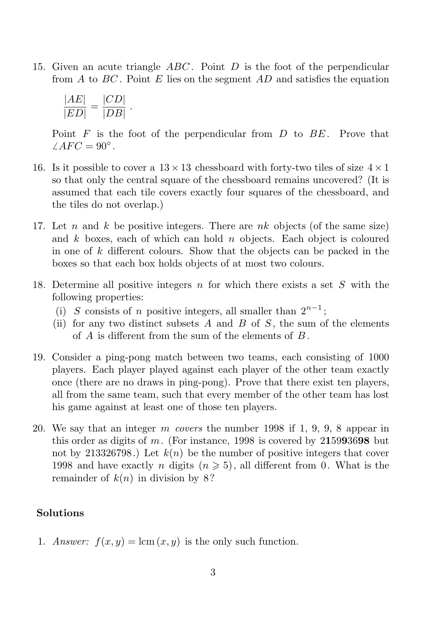15. Given an acute triangle  $ABC$ . Point D is the foot of the perpendicular from A to  $BC$ . Point E lies on the segment  $AD$  and satisfies the equation

$$
\frac{|AE|}{|ED|} = \frac{|CD|}{|DB|}.
$$

Point  $F$  is the foot of the perpendicular from  $D$  to  $BE$ . Prove that  $\angle AFC = 90^{\circ}$ .

- 16. Is it possible to cover a  $13 \times 13$  chessboard with forty-two tiles of size  $4 \times 1$ so that only the central square of the chessboard remains uncovered? (It is assumed that each tile covers exactly four squares of the chessboard, and the tiles do not overlap.)
- 17. Let n and k be positive integers. There are  $nk$  objects (of the same size) and  $k$  boxes, each of which can hold  $n$  objects. Each object is coloured in one of  $k$  different colours. Show that the objects can be packed in the boxes so that each box holds objects of at most two colours.
- 18. Determine all positive integers  $n$  for which there exists a set  $S$  with the following properties:
	- (i) S consists of n positive integers, all smaller than  $2^{n-1}$ ;
	- (ii) for any two distinct subsets  $A$  and  $B$  of  $S$ , the sum of the elements of  $A$  is different from the sum of the elements of  $B$ .
- 19. Consider a ping-pong match between two teams, each consisting of 1000 players. Each player played against each player of the other team exactly once (there are no draws in ping-pong). Prove that there exist ten players, all from the same team, such that every member of the other team has lost his game against at least one of those ten players.
- 20. We say that an integer m covers the number 1998 if 1, 9, 9, 8 appear in this order as digits of  $m$ . (For instance, 1998 is covered by 215993698 but not by 213326798.) Let  $k(n)$  be the number of positive integers that cover 1998 and have exactly n digits  $(n \geq 5)$ , all different from 0. What is the remainder of  $k(n)$  in division by 8?

#### Solutions

1. Answer:  $f(x, y) = \text{lcm}(x, y)$  is the only such function.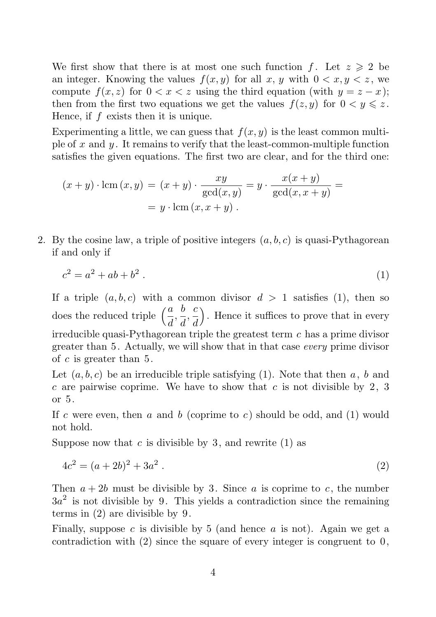We first show that there is at most one such function f. Let  $z \geqslant 2$  be an integer. Knowing the values  $f(x, y)$  for all x, y with  $0 \lt x, y \lt z$ , we compute  $f(x, z)$  for  $0 < x < z$  using the third equation (with  $y = z - x$ ); then from the first two equations we get the values  $f(z, y)$  for  $0 < y \leq z$ . Hence, if  $f$  exists then it is unique.

Experimenting a little, we can guess that  $f(x, y)$  is the least common multiple of x and  $y$ . It remains to verify that the least-common-multiple function satisfies the given equations. The first two are clear, and for the third one:

$$
(x+y)\cdot \text{lcm}(x,y) = (x+y)\cdot \frac{xy}{\text{gcd}(x,y)} = y\cdot \frac{x(x+y)}{\text{gcd}(x,x+y)} =
$$

$$
= y\cdot \text{lcm}(x,x+y).
$$

2. By the cosine law, a triple of positive integers  $(a, b, c)$  is quasi-Pythagorean if and only if

$$
c^2 = a^2 + ab + b^2 \tag{1}
$$

If a triple  $(a, b, c)$  with a common divisor  $d > 1$  satisfies (1), then so does the reduced triple  $\left(\frac{a}{d}, \frac{b}{d}\right)$  $\frac{b}{d}, \frac{c}{d}$ d ). Hence it suffices to prove that in every irreducible quasi-Pythagorean triple the greatest term  $c$  has a prime divisor greater than 5. Actually, we will show that in that case every prime divisor of c is greater than 5.

Let  $(a, b, c)$  be an irreducible triple satisfying (1). Note that then a, b and c are pairwise coprime. We have to show that c is not divisible by 2, 3 or 5.

If c were even, then a and b (coprime to c) should be odd, and  $(1)$  would not hold.

Suppose now that c is divisible by 3, and rewrite  $(1)$  as

$$
4c^2 = (a+2b)^2 + 3a^2.
$$
 (2)

Then  $a + 2b$  must be divisible by 3. Since a is coprime to c, the number  $3a<sup>2</sup>$  is not divisible by 9. This yields a contradiction since the remaining terms in (2) are divisible by 9.

Finally, suppose c is divisible by 5 (and hence a is not). Again we get a contradiction with  $(2)$  since the square of every integer is congruent to  $0$ ,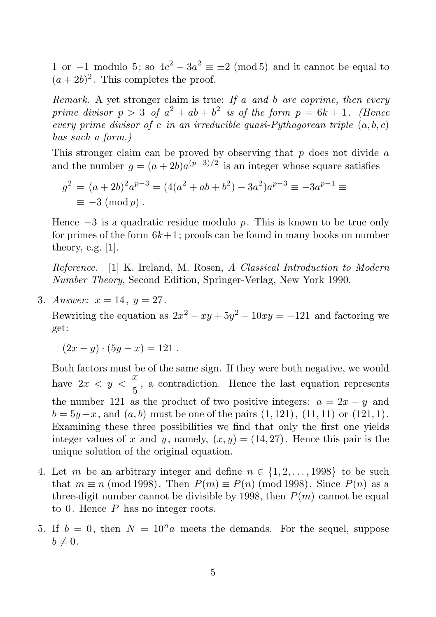1 or  $-1$  modulo 5; so  $4c^2 - 3a^2 \equiv \pm 2 \pmod{5}$  and it cannot be equal to  $(a+2b)^2$ . This completes the proof.

Remark. A yet stronger claim is true: If  $a$  and  $b$  are coprime, then every prime divisor  $p > 3$  of  $a^2 + ab + b^2$  is of the form  $p = 6k + 1$ . (Hence every prime divisor of c in an irreducible quasi-Pythagorean triple  $(a, b, c)$ has such a form.)

This stronger claim can be proved by observing that  $p$  does not divide  $a$ and the number  $g = (a + 2b)a^{(p-3)/2}$  is an integer whose square satisfies

$$
g^{2} = (a+2b)^{2}a^{p-3} = (4(a^{2}+ab+b^{2})-3a^{2})a^{p-3} \equiv -3a^{p-1} \equiv
$$
  

$$
\equiv -3 \pmod{p}.
$$

Hence  $-3$  is a quadratic residue modulo p. This is known to be true only for primes of the form  $6k+1$ ; proofs can be found in many books on number theory, e.g.  $[1]$ .

Reference. [1] K. Ireland, M. Rosen, A Classical Introduction to Modern Number Theory, Second Edition, Springer-Verlag, New York 1990.

3. Answer:  $x = 14$ ,  $y = 27$ .

Rewriting the equation as  $2x^2 - xy + 5y^2 - 10xy = -121$  and factoring we get:

$$
(2x - y) \cdot (5y - x) = 121.
$$

Both factors must be of the same sign. If they were both negative, we would have  $2x < y < \frac{x}{5}$  $\frac{\infty}{5}$ , a contradiction. Hence the last equation represents the number 121 as the product of two positive integers:  $a = 2x - y$  and  $b = 5y-x$ , and  $(a, b)$  must be one of the pairs  $(1, 121)$ ,  $(11, 11)$  or  $(121, 1)$ . Examining these three possibilities we find that only the first one yields integer values of x and y, namely,  $(x, y) = (14, 27)$ . Hence this pair is the unique solution of the original equation.

- 4. Let m be an arbitrary integer and define  $n \in \{1, 2, \ldots, 1998\}$  to be such that  $m \equiv n \pmod{1998}$ . Then  $P(m) \equiv P(n) \pmod{1998}$ . Since  $P(n)$  as a three-digit number cannot be divisible by 1998, then  $P(m)$  cannot be equal to 0. Hence  $P$  has no integer roots.
- 5. If  $b = 0$ , then  $N = 10<sup>n</sup>a$  meets the demands. For the sequel, suppose  $b \neq 0$ .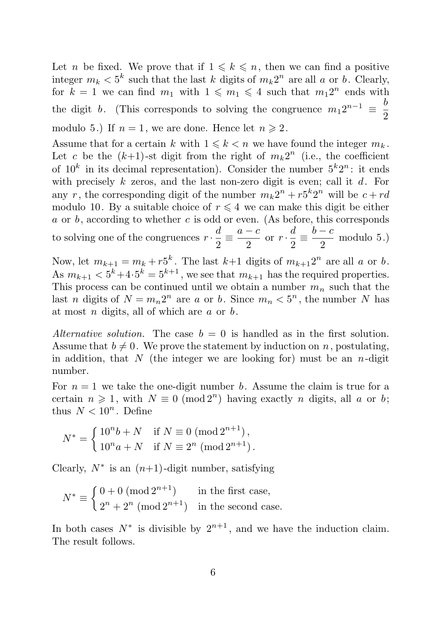Let *n* be fixed. We prove that if  $1 \leq k \leq n$ , then we can find a positive integer  $m_k < 5^k$  such that the last k digits of  $m_k 2^n$  are all a or b. Clearly, for  $k = 1$  we can find  $m_1$  with  $1 \leqslant m_1 \leqslant 4$  such that  $m_1 2^n$  ends with the digit b. (This corresponds to solving the congruence  $m_1 2^{n-1} \equiv \frac{b}{2}$ 2 modulo 5.) If  $n = 1$ , we are done. Hence let  $n \ge 2$ .

Assume that for a certain k with  $1 \leq k \leq n$  we have found the integer  $m_k$ . Let c be the  $(k+1)$ -st digit from the right of  $m_k 2^n$  (i.e., the coefficient of  $10^k$  in its decimal representation). Consider the number  $5^k2^n$ : it ends with precisely k zeros, and the last non-zero digit is even; call it  $d$ . For any r, the corresponding digit of the number  $m_k 2^n + r_5^k 2^n$  will be  $c + rd$ modulo 10. By a suitable choice of  $r \leq 4$  we can make this digit be either  $a$  or  $b$ , according to whether  $c$  is odd or even. (As before, this corresponds

to solving one of the congruences  $r \cdot \frac{d}{2}$  $\frac{d}{2} \equiv \frac{a-c}{2}$  $\frac{-c}{2}$  or  $r \cdot \frac{d}{2}$  $\frac{d}{2} \equiv \frac{b-c}{2}$  $\frac{0}{2}$  modulo 5.)

Now, let  $m_{k+1} = m_k + r_5^k$ . The last  $k+1$  digits of  $m_{k+1}2^n$  are all a or b. As  $m_{k+1} < 5^k + 4 \cdot 5^k = 5^{k+1}$ , we see that  $m_{k+1}$  has the required properties. This process can be continued until we obtain a number  $m_n$  such that the last *n* digits of  $N = m_n 2^n$  are *a* or *b*. Since  $m_n < 5^n$ , the number *N* has at most  $n$  digits, all of which are  $a$  or  $b$ .

Alternative solution. The case  $b = 0$  is handled as in the first solution. Assume that  $b \neq 0$ . We prove the statement by induction on n, postulating, in addition, that N (the integer we are looking for) must be an  $n$ -digit number.

For  $n = 1$  we take the one-digit number b. Assume the claim is true for a certain  $n \geq 1$ , with  $N \equiv 0 \pmod{2^n}$  having exactly n digits, all a or b; thus  $N < 10^n$ . Define

$$
N^* = \begin{cases} 10^n b + N & \text{if } N \equiv 0 \pmod{2^{n+1}}, \\ 10^n a + N & \text{if } N \equiv 2^n \pmod{2^{n+1}}. \end{cases}
$$

Clearly,  $N^*$  is an  $(n+1)$ -digit number, satisfying

$$
N^* \equiv \begin{cases} 0+0 \; (\text{mod } 2^{n+1}) & \text{in the first case,} \\ 2^n + 2^n \; (\text{mod } 2^{n+1}) & \text{in the second case.} \end{cases}
$$

In both cases  $N^*$  is divisible by  $2^{n+1}$ , and we have the induction claim. The result follows.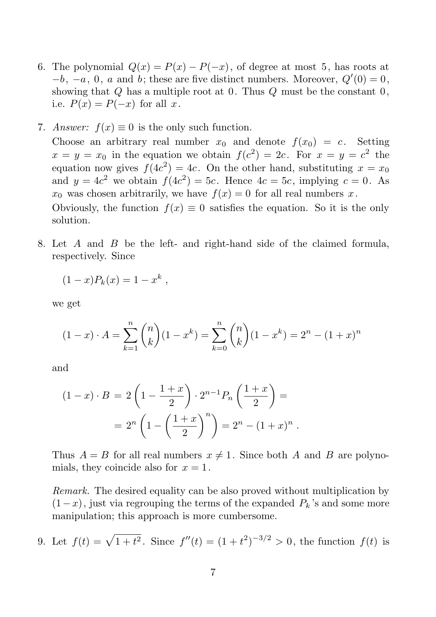- 6. The polynomial  $Q(x) = P(x) P(-x)$ , of degree at most 5, has roots at  $-b$ ,  $-a$ , 0, *a* and *b*; these are five distinct numbers. Moreover,  $Q'(0) = 0$ , showing that  $Q$  has a multiple root at 0. Thus  $Q$  must be the constant  $0$ , i.e.  $P(x) = P(-x)$  for all x.
- 7. Answer:  $f(x) \equiv 0$  is the only such function.

Choose an arbitrary real number  $x_0$  and denote  $f(x_0) = c$ . Setting  $x = y = x_0$  in the equation we obtain  $f(c^2) = 2c$ . For  $x = y = c^2$  the equation now gives  $f(4c^2) = 4c$ . On the other hand, substituting  $x = x_0$ and  $y = 4c^2$  we obtain  $f(4c^2) = 5c$ . Hence  $4c = 5c$ , implying  $c = 0$ . As  $x_0$  was chosen arbitrarily, we have  $f(x) = 0$  for all real numbers x.

Obviously, the function  $f(x) \equiv 0$  satisfies the equation. So it is the only solution.

8. Let A and B be the left- and right-hand side of the claimed formula, respectively. Since

$$
(1-x)P_k(x) = 1 - x^k,
$$

we get

$$
(1-x)\cdot A = \sum_{k=1}^{n} {n \choose k} (1-x^{k}) = \sum_{k=0}^{n} {n \choose k} (1-x^{k}) = 2^{n} - (1+x)^{n}
$$

and

$$
(1-x)\cdot B = 2\left(1 - \frac{1+x}{2}\right) \cdot 2^{n-1} P_n\left(\frac{1+x}{2}\right) =
$$
  
=  $2^n \left(1 - \left(\frac{1+x}{2}\right)^n\right) = 2^n - (1+x)^n$ .

Thus  $A = B$  for all real numbers  $x \neq 1$ . Since both A and B are polynomials, they coincide also for  $x = 1$ .

Remark. The desired equality can be also proved without multiplication by  $(1-x)$ , just via regrouping the terms of the expanded  $P_k$ 's and some more manipulation; this approach is more cumbersome.

9. Let 
$$
f(t) = \sqrt{1+t^2}
$$
. Since  $f''(t) = (1+t^2)^{-3/2} > 0$ , the function  $f(t)$  is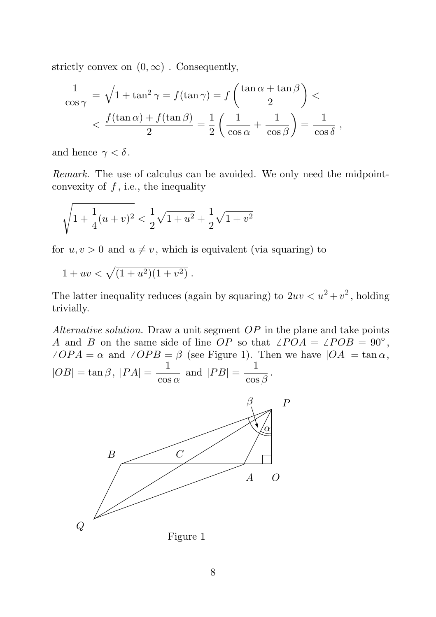strictly convex on  $(0, \infty)$ . Consequently,

$$
\frac{1}{\cos \gamma} = \sqrt{1 + \tan^2 \gamma} = f(\tan \gamma) = f\left(\frac{\tan \alpha + \tan \beta}{2}\right) <
$$
  

$$
< \frac{f(\tan \alpha) + f(\tan \beta)}{2} = \frac{1}{2}\left(\frac{1}{\cos \alpha} + \frac{1}{\cos \beta}\right) = \frac{1}{\cos \delta},
$$

and hence  $\gamma < \delta$ .

Remark. The use of calculus can be avoided. We only need the midpointconvexity of  $f$ , i.e., the inequality

$$
\sqrt{1+\frac{1}{4}(u+v)^2} < \frac{1}{2}\sqrt{1+u^2} + \frac{1}{2}\sqrt{1+v^2}
$$

for  $u, v > 0$  and  $u \neq v$ , which is equivalent (via squaring) to

$$
1 + uv < \sqrt{(1 + u^2)(1 + v^2)}.
$$

The latter inequality reduces (again by squaring) to  $2uv < u^2 + v^2$ , holding trivially.

Alternative solution. Draw a unit segment  $OP$  in the plane and take points A and B on the same side of line OP so that  $\angle POA = \angle POB = 90°$ ,  $\angle OPA = \alpha$  and  $\angle OPB = \beta$  (see Figure 1). Then we have  $|OA| = \tan \alpha$ ,  $|OB| = \tan \beta$ ,  $|PA| = \frac{1}{\cos \beta}$  $\frac{1}{\cos \alpha}$  and  $|PB| = \frac{1}{\cos \alpha}$  $\frac{1}{\cos \beta}$ .

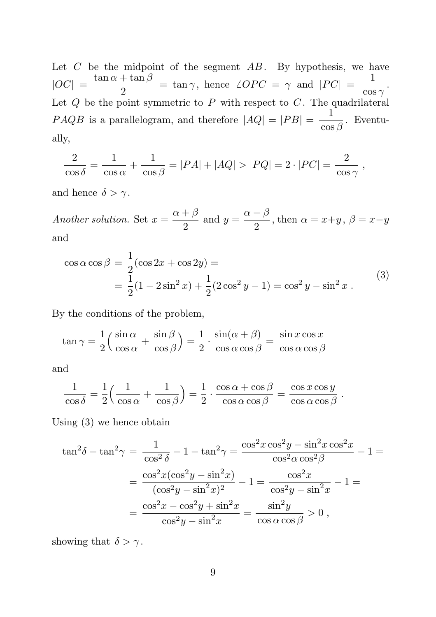Let  $C$  be the midpoint of the segment  $AB$ . By hypothesis, we have  $|OC| = \frac{\tan \alpha + \tan \beta}{2}$  $\frac{1+\tan\beta}{2} = \tan\gamma$ , hence  $\angle OPC = \gamma$  and  $|PC| = \frac{1}{\cos\gamma}$  $\frac{1}{\cos \gamma}$ . Let  $Q$  be the point symmetric to  $P$  with respect to  $C$ . The quadrilateral  $P A Q B$  is a parallelogram, and therefore  $|A Q| = |P B| = \frac{1}{\cos \theta}$  $\frac{1}{\cos \beta}$ . Eventually,

$$
\frac{2}{\cos \delta} = \frac{1}{\cos \alpha} + \frac{1}{\cos \beta} = |PA| + |AQ| > |PQ| = 2 \cdot |PC| = \frac{2}{\cos \gamma}
$$

,

.

and hence  $\delta > \gamma$ .

Another solution. Set  $x = \frac{\alpha + \beta}{2}$  $\frac{+\beta}{2}$  and  $y = \frac{\alpha - \beta}{2}$  $\frac{p}{2}$ , then  $\alpha = x+y$ ,  $\beta = x-y$ and

$$
\cos \alpha \cos \beta = \frac{1}{2} (\cos 2x + \cos 2y) =
$$
  
=  $\frac{1}{2} (1 - 2\sin^2 x) + \frac{1}{2} (2\cos^2 y - 1) = \cos^2 y - \sin^2 x$ . (3)

By the conditions of the problem,

$$
\tan \gamma = \frac{1}{2} \left( \frac{\sin \alpha}{\cos \alpha} + \frac{\sin \beta}{\cos \beta} \right) = \frac{1}{2} \cdot \frac{\sin(\alpha + \beta)}{\cos \alpha \cos \beta} = \frac{\sin x \cos x}{\cos \alpha \cos \beta}
$$

and

$$
\frac{1}{\cos \delta} = \frac{1}{2} \left( \frac{1}{\cos \alpha} + \frac{1}{\cos \beta} \right) = \frac{1}{2} \cdot \frac{\cos \alpha + \cos \beta}{\cos \alpha \cos \beta} = \frac{\cos x \cos y}{\cos \alpha \cos \beta}
$$

Using (3) we hence obtain

$$
\tan^2 \delta - \tan^2 \gamma = \frac{1}{\cos^2 \delta} - 1 - \tan^2 \gamma = \frac{\cos^2 x \cos^2 y - \sin^2 x \cos^2 x}{\cos^2 \alpha \cos^2 \beta} - 1 =
$$
  
= 
$$
\frac{\cos^2 x (\cos^2 y - \sin^2 x)}{(\cos^2 y - \sin^2 x)^2} - 1 = \frac{\cos^2 x}{\cos^2 y - \sin^2 x} - 1 =
$$
  
= 
$$
\frac{\cos^2 x - \cos^2 y + \sin^2 x}{\cos^2 y - \sin^2 x} = \frac{\sin^2 y}{\cos \alpha \cos \beta} > 0,
$$

showing that  $\delta > \gamma$ .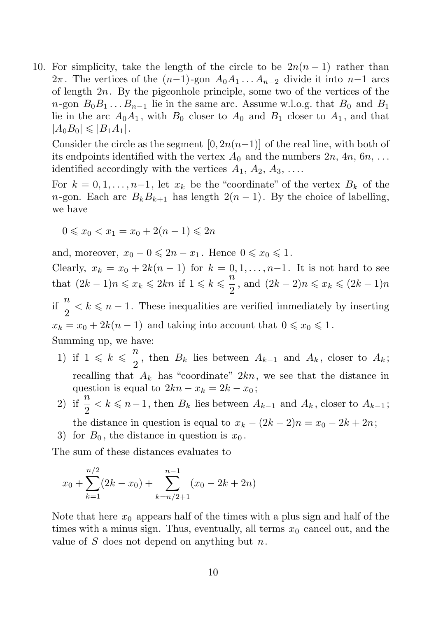10. For simplicity, take the length of the circle to be  $2n(n-1)$  rather than  $2\pi$ . The vertices of the  $(n-1)$ -gon  $A_0A_1...A_{n-2}$  divide it into  $n-1$  arcs of length  $2n$ . By the pigeonhole principle, some two of the vertices of the  $n$ -gon  $B_0B_1...B_{n-1}$  lie in the same arc. Assume w.l.o.g. that  $B_0$  and  $B_1$ lie in the arc  $A_0A_1$ , with  $B_0$  closer to  $A_0$  and  $B_1$  closer to  $A_1$ , and that  $|A_0B_0| \leqslant |B_1A_1|.$ 

Consider the circle as the segment  $[0, 2n(n-1)]$  of the real line, with both of its endpoints identified with the vertex  $A_0$  and the numbers  $2n, 4n, 6n, ...$ identified accordingly with the vertices  $A_1, A_2, A_3, \ldots$ .

For  $k = 0, 1, \ldots, n-1$ , let  $x_k$  be the "coordinate" of the vertex  $B_k$  of the n-gon. Each arc  $B_k B_{k+1}$  has length  $2(n-1)$ . By the choice of labelling, we have

$$
0 \leq x_0 < x_1 = x_0 + 2(n - 1) \leq 2n
$$

and, moreover,  $x_0 - 0 \leq 2n - x_1$ . Hence  $0 \leq x_0 \leq 1$ .

Clearly,  $x_k = x_0 + 2k(n-1)$  for  $k = 0, 1, ..., n-1$ . It is not hard to see that  $(2k-1)n \leqslant x_k \leqslant 2kn$  if  $1 \leqslant k \leqslant \frac{n}{2}$  $\frac{n}{2}$ , and  $(2k - 2)n \leq x_k \leq (2k - 1)n$ if  $\frac{n}{2} < k \leq n - 1$ . These inequalities are verified immediately by inserting  $x_k = x_0 + 2k(n-1)$  and taking into account that  $0 \le x_0 \le 1$ . Summing up, we have:

- 1) if  $1 \leqslant k \leqslant \frac{n}{2}$  $\frac{\pi}{2}$ , then  $B_k$  lies between  $A_{k-1}$  and  $A_k$ , closer to  $A_k$ ; recalling that  $A_k$  has "coordinate"  $2kn$ , we see that the distance in question is equal to  $2kn - x_k = 2k - x_0$ ;
- 2) if  $\frac{n}{2} < k \leq n-1$ , then  $B_k$  lies between  $A_{k-1}$  and  $A_k$ , closer to  $A_{k-1}$ ; the distance in question is equal to  $x_k - (2k - 2)n = x_0 - 2k + 2n$ ;
- 3) for  $B_0$ , the distance in question is  $x_0$ .

The sum of these distances evaluates to

$$
x_0 + \sum_{k=1}^{n/2} (2k - x_0) + \sum_{k=n/2+1}^{n-1} (x_0 - 2k + 2n)
$$

Note that here  $x_0$  appears half of the times with a plus sign and half of the times with a minus sign. Thus, eventually, all terms  $x_0$  cancel out, and the value of  $S$  does not depend on anything but  $n$ .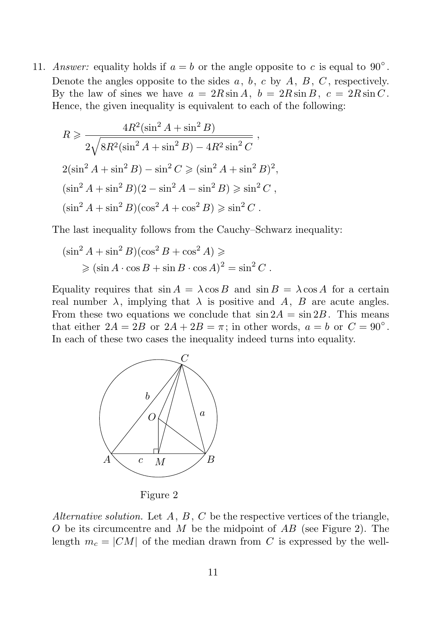11. Answer: equality holds if  $a = b$  or the angle opposite to c is equal to 90°. Denote the angles opposite to the sides  $a, b, c$  by  $A, B, C$ , respectively. By the law of sines we have  $a = 2R\sin A$ ,  $b = 2R\sin B$ ,  $c = 2R\sin C$ . Hence, the given inequality is equivalent to each of the following:

$$
R \geq \frac{4R^2(\sin^2 A + \sin^2 B)}{2\sqrt{8R^2(\sin^2 A + \sin^2 B) - 4R^2 \sin^2 C}},
$$
  

$$
2(\sin^2 A + \sin^2 B) - \sin^2 C \geq (\sin^2 A + \sin^2 B)^2,
$$
  

$$
(\sin^2 A + \sin^2 B)(2 - \sin^2 A - \sin^2 B) \geq \sin^2 C,
$$
  

$$
(\sin^2 A + \sin^2 B)(\cos^2 A + \cos^2 B) \geq \sin^2 C.
$$

The last inequality follows from the Cauchy–Schwarz inequality:

$$
(\sin^2 A + \sin^2 B)(\cos^2 B + \cos^2 A) \ge
$$
  
 
$$
\ge (\sin A \cdot \cos B + \sin B \cdot \cos A)^2 = \sin^2 C.
$$

Equality requires that  $\sin A = \lambda \cos B$  and  $\sin B = \lambda \cos A$  for a certain real number  $\lambda$ , implying that  $\lambda$  is positive and A, B are acute angles. From these two equations we conclude that  $\sin 2A = \sin 2B$ . This means that either  $2A = 2B$  or  $2A + 2B = \pi$ ; in other words,  $a = b$  or  $C = 90^{\circ}$ . In each of these two cases the inequality indeed turns into equality.





Figure 2

Alternative solution. Let  $A, B, C$  be the respective vertices of the triangle, O be its circumcentre and M be the midpoint of  $AB$  (see Figure 2). The length  $m_c = |CM|$  of the median drawn from C is expressed by the well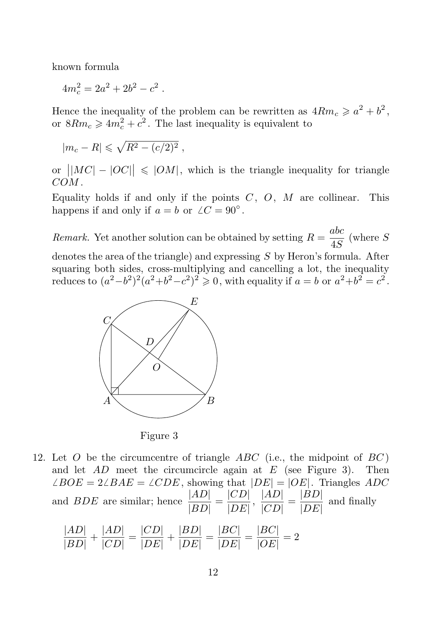known formula

 $4m_c^2 = 2a^2 + 2b^2 - c^2$ .

Hence the inequality of the problem can be rewritten as  $4Rm_c \geq a^2 + b^2$ , or  $8Rm_c \geq 4m_c^2 + c^2$ . The last inequality is equivalent to

$$
|m_c - R| \leqslant \sqrt{R^2 - (c/2)^2} \;,
$$

or  $\left|MC| - |OC| \right| \leq |OM|$ , which is the triangle inequality for triangle COM .

Equality holds if and only if the points  $C, O, M$  are collinear. This happens if and only if  $a = b$  or  $\angle C = 90^\circ$ .

**Remarkant** Yet another solution can be obtained by setting  $R = \frac{abc}{4C}$ PSfrag replacements of another solution can be obtained by setting  $R = \frac{dS}{dS}$  (where S

denotes the area of the triangle) and expressing  $S$  by Heron's formula. After squaring  $\beta$  oth sides, cross-multiplying and cancelling a lot, the inequality reduces  $\mathfrak{t}^{G}_{0}(a^{2}-b^{2})^{2}(a^{2}+b^{2}-c^{2})^{2} \geq 0$ , with equality if  $a=b$  or  $a^{2}+b^{2}=c^{2}$ .



Figure 3

12. Let  $O$  be the circumcentre of triangle  $ABC$  (i.e., the midpoint of  $BC$ ) and let  $AD$  meet the circumcircle again at E (see Figure 3). Then  $\angle BOE = 2\angle BAE = \angle CDE$ , showing that  $|DE| = |OE|$ . Triangles ADC and *BDE* are similar; hence  $\frac{|AD|}{|BD|}$  $\frac{|AD|}{|BD|} = \frac{|CD|}{|DE|}$  $\frac{|CD|}{|DE|}, \frac{|AD|}{|CD|}$  $\frac{|AD|}{|CD|} = \frac{|BD|}{|DE|}$  $\frac{|DE|}{|DE|}$  and finally  $|AD|$  $|AD|$  $|CD|$  $|D\overline{D}|$  $|DA|$  $|DA|$ 

$$
\frac{|AD|}{|BD|} + \frac{|AD|}{|CD|} = \frac{|CD|}{|DE|} + \frac{|DD|}{|DE|} = \frac{|DC|}{|DE|} = \frac{|DC|}{|OE|} = 2
$$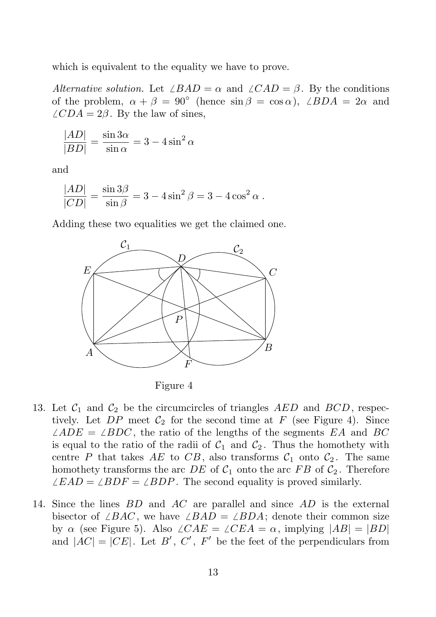which is equivalent to the equality we have to prove. PSfrag replacements

> Alternative solution. Let  $\angle BAD = \alpha$  and  $\angle CAD = \beta$ . By the conditions of the problem,  $\alpha + \beta = 90^{\circ}$  (hence  $\sin \beta = \cos \alpha$ ),  $\angle BDA = 2\alpha$  and  $\angle CD_0A = 2\beta$ . By the law of sines,

$$
\frac{|A\hat{D}|}{|B\hat{D}|} = \frac{\sin 3\alpha}{\sin \alpha} = 3 - 4\sin^2 \alpha
$$

and

$$
\frac{|A\cancel{P}|}{|C\cancel{D}|} = \frac{\sin 3\beta}{\sin \beta} = 3 - 4\sin^2 \beta = 3 - 4\cos^2 \alpha.
$$

 $C$ <br>Adding these two equalities we get the claimed one. O



Figure 4

- 13. Let  $C_1$  and  $C_2$  be the circumcircles of triangles AED and BCD, respectively. Let  $DP$  meet  $C_2$  for the second time at F (see Figure 4). Since  $\angle ADE = \angle BDC$ , the ratio of the lengths of the segments EA and BC is equal to the ratio of the radii of  $C_1$  and  $C_2$ . Thus the homothety with centre P that takes AE to CB, also transforms  $C_1$  onto  $C_2$ . The same homothety transforms the arc  $DE$  of  $C_1$  onto the arc  $FB$  of  $C_2$ . Therefore  $\angle EAD = \angle BDF = \angle BDP$ . The second equality is proved similarly.
- 14. Since the lines BD and AC are parallel and since AD is the external bisector of  $\angle BAC$ , we have  $\angle BAD = \angle BDA$ ; denote their common size by  $\alpha$  (see Figure 5). Also  $\angle CAE = \angle CEA = \alpha$ , implying  $|AB| = |BD|$ and  $|AC| = |CE|$ . Let B', C', F' be the feet of the perpendiculars from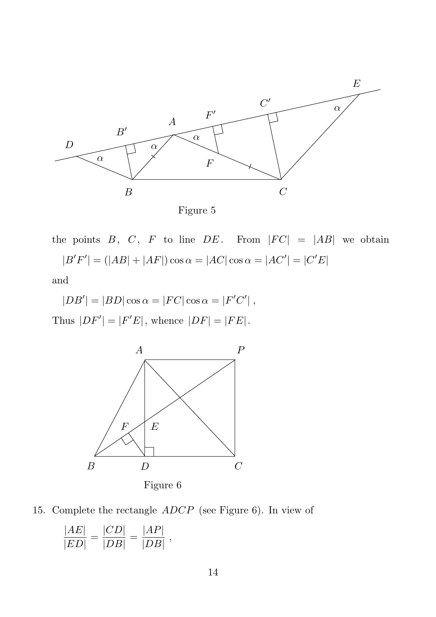

Figure 5

the points  $B, C, F$  to line  $DE$ . From  $|FC| = |AB|$  we obtain  $|B'F'| = (|AB| + |AF|) \cos \alpha = |AC| \cos \alpha = |AC'| = |C'E|$ 

and

$$
|DB'| = |BD|\cos\alpha = |FC|\cos\alpha = |F'C'|,
$$

Thus  $|DF'| = |F'E|$ , whence  $|DF| = |FE|$ .



15. Complete the rectangle ADCP (see Figure 6). In view of

$$
\frac{|AE|}{|ED|} = \frac{|CD|}{|DB|} = \frac{|AP|}{|DB|},
$$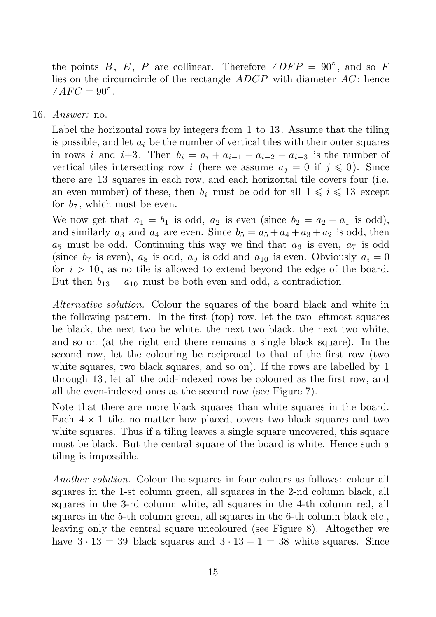the points B, E, P are collinear. Therefore  $\angle DFP = 90^{\circ}$ , and so F lies on the circumcircle of the rectangle  $ADCP$  with diameter  $AC$ ; hence  $\angle AFC = 90^{\circ}$ .

16. Answer: no.

Label the horizontal rows by integers from 1 to 13. Assume that the tiling is possible, and let  $a_i$  be the number of vertical tiles with their outer squares in rows i and i+3. Then  $b_i = a_i + a_{i-1} + a_{i-2} + a_{i-3}$  is the number of vertical tiles intersecting row i (here we assume  $a_j = 0$  if  $j \leq 0$ ). Since there are 13 squares in each row, and each horizontal tile covers four (i.e. an even number) of these, then  $b_i$  must be odd for all  $1 \leq i \leq 13$  except for  $b_7$ , which must be even.

We now get that  $a_1 = b_1$  is odd,  $a_2$  is even (since  $b_2 = a_2 + a_1$  is odd), and similarly  $a_3$  and  $a_4$  are even. Since  $b_5 = a_5 + a_4 + a_3 + a_2$  is odd, then  $a_5$  must be odd. Continuing this way we find that  $a_6$  is even,  $a_7$  is odd (since  $b_7$  is even),  $a_8$  is odd,  $a_9$  is odd and  $a_{10}$  is even. Obviously  $a_i = 0$ for  $i > 10$ , as no tile is allowed to extend beyond the edge of the board. But then  $b_{13} = a_{10}$  must be both even and odd, a contradiction.

Alternative solution. Colour the squares of the board black and white in the following pattern. In the first (top) row, let the two leftmost squares be black, the next two be white, the next two black, the next two white, and so on (at the right end there remains a single black square). In the second row, let the colouring be reciprocal to that of the first row (two white squares, two black squares, and so on). If the rows are labelled by 1 through 13, let all the odd-indexed rows be coloured as the first row, and all the even-indexed ones as the second row (see Figure 7).

Note that there are more black squares than white squares in the board. Each  $4 \times 1$  tile, no matter how placed, covers two black squares and two white squares. Thus if a tiling leaves a single square uncovered, this square must be black. But the central square of the board is white. Hence such a tiling is impossible.

Another solution. Colour the squares in four colours as follows: colour all squares in the 1-st column green, all squares in the 2-nd column black, all squares in the 3-rd column white, all squares in the 4-th column red, all squares in the 5-th column green, all squares in the 6-th column black etc., leaving only the central square uncoloured (see Figure 8). Altogether we have  $3 \cdot 13 = 39$  black squares and  $3 \cdot 13 - 1 = 38$  white squares. Since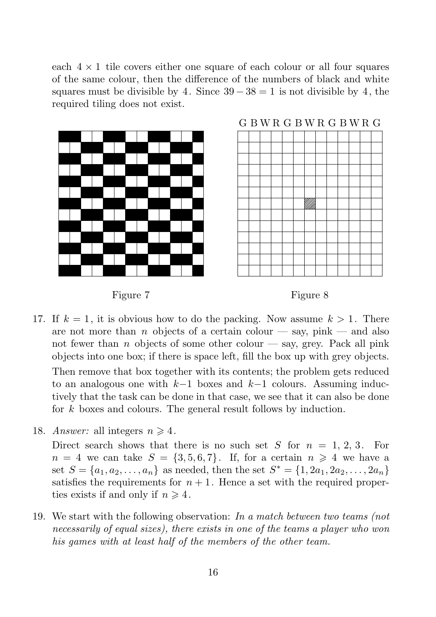each  $4 \times 1$  tile covers either one square of each colour or all four squares of the same colour, then the difference of the numbers of black and white squares must be divisible by 4. Since  $39 - 38 = 1$  is not divisible by 4, the required tiling does not exist.



## G B W R G B W R G B W R G



#### Figure 7



- 17. If  $k = 1$ , it is obvious how to do the packing. Now assume  $k > 1$ . There are not more than n objects of a certain colour  $-\text{say}, \text{pink} - \text{and also}$ not fewer than n objects of some other colour  $-$  say, grey. Pack all pink objects into one box; if there is space left, fill the box up with grey objects. Then remove that box together with its contents; the problem gets reduced to an analogous one with  $k-1$  boxes and  $k-1$  colours. Assuming inductively that the task can be done in that case, we see that it can also be done for k boxes and colours. The general result follows by induction.
- 18. Answer: all integers  $n \geq 4$ .

Direct search shows that there is no such set S for  $n = 1, 2, 3$ . For  $n = 4$  we can take  $S = \{3, 5, 6, 7\}$ . If, for a certain  $n \geq 4$  we have a set  $S = \{a_1, a_2, ..., a_n\}$  as needed, then the set  $S^* = \{1, 2a_1, 2a_2, ..., 2a_n\}$ satisfies the requirements for  $n + 1$ . Hence a set with the required properties exists if and only if  $n \geq 4$ .

19. We start with the following observation: In a match between two teams (not necessarily of equal sizes), there exists in one of the teams a player who won his games with at least half of the members of the other team.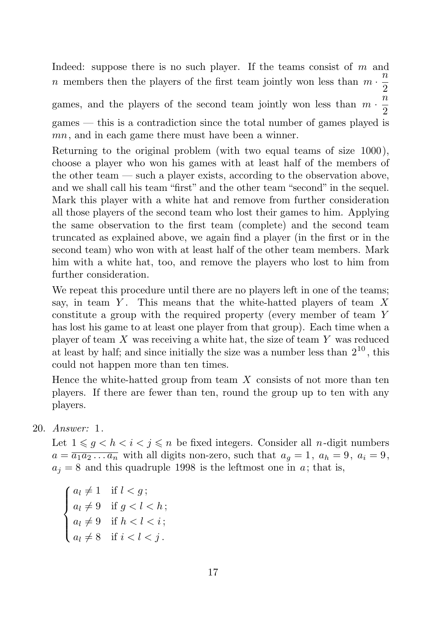Indeed: suppose there is no such player. If the teams consist of  $m$  and *n* members then the players of the first team jointly won less than  $m \cdot \frac{n}{2}$ 2 games, and the players of the second team jointly won less than  $m \cdot \frac{n}{2}$ 2 games — this is a contradiction since the total number of games played is mn, and in each game there must have been a winner.

Returning to the original problem (with two equal teams of size 1000), choose a player who won his games with at least half of the members of the other team — such a player exists, according to the observation above, and we shall call his team "first" and the other team "second" in the sequel. Mark this player with a white hat and remove from further consideration all those players of the second team who lost their games to him. Applying the same observation to the first team (complete) and the second team truncated as explained above, we again find a player (in the first or in the second team) who won with at least half of the other team members. Mark him with a white hat, too, and remove the players who lost to him from further consideration.

We repeat this procedure until there are no players left in one of the teams; say, in team  $Y$ . This means that the white-hatted players of team  $X$ constitute a group with the required property (every member of team Y has lost his game to at least one player from that group). Each time when a player of team  $X$  was receiving a white hat, the size of team  $Y$  was reduced at least by half; and since initially the size was a number less than  $2^{10}$ , this could not happen more than ten times.

Hence the white-hatted group from team  $X$  consists of not more than ten players. If there are fewer than ten, round the group up to ten with any players.

20. Answer: 1.

Let  $1 \leqslant g \leq h \leq i \leq n$  be fixed integers. Consider all *n*-digit numbers  $a = \overline{a_1 a_2 \dots a_n}$  with all digits non-zero, such that  $a_g = 1$ ,  $a_h = 9$ ,  $a_i = 9$ ,  $a_j = 8$  and this quadruple 1998 is the leftmost one in a; that is,

 $\sqrt{ }$  $\int$  $\overline{\mathcal{L}}$  $a_l \neq 1$  if  $l < g$ ;  $a_l \neq 9$  if  $g < l < h$ ;  $a_l \neq 9$  if  $h < l < i$ ;  $a_l \neq 8$  if  $i < l < j$ .